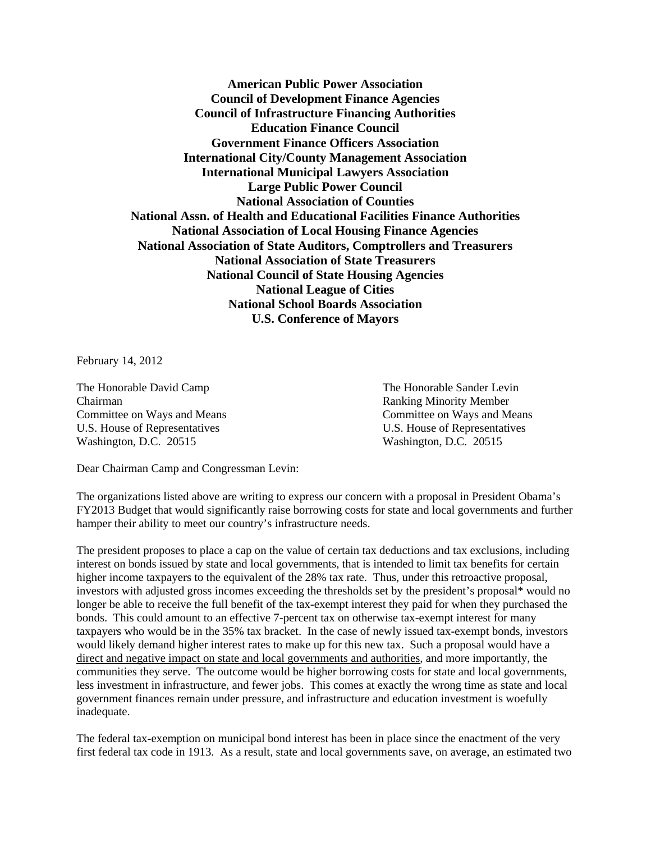**American Public Power Association Council of Development Finance Agencies Council of Infrastructure Financing Authorities Education Finance Council Government Finance Officers Association International City/County Management Association International Municipal Lawyers Association Large Public Power Council National Association of Counties National Assn. of Health and Educational Facilities Finance Authorities National Association of Local Housing Finance Agencies National Association of State Auditors, Comptrollers and Treasurers National Association of State Treasurers National Council of State Housing Agencies National League of Cities National School Boards Association U.S. Conference of Mayors** 

February 14, 2012

The Honorable David Camp The Honorable Sander Levin Chairman Ranking Minority Member U.S. House of Representatives U.S. House of Representatives Washington, D.C. 20515 Washington, D.C. 20515

Committee on Ways and Means Committee on Ways and Means

Dear Chairman Camp and Congressman Levin:

The organizations listed above are writing to express our concern with a proposal in President Obama's FY2013 Budget that would significantly raise borrowing costs for state and local governments and further hamper their ability to meet our country's infrastructure needs.

The president proposes to place a cap on the value of certain tax deductions and tax exclusions, including interest on bonds issued by state and local governments, that is intended to limit tax benefits for certain higher income taxpayers to the equivalent of the 28% tax rate. Thus, under this retroactive proposal, investors with adjusted gross incomes exceeding the thresholds set by the president's proposal\* would no longer be able to receive the full benefit of the tax-exempt interest they paid for when they purchased the bonds. This could amount to an effective 7-percent tax on otherwise tax-exempt interest for many taxpayers who would be in the 35% tax bracket. In the case of newly issued tax-exempt bonds, investors would likely demand higher interest rates to make up for this new tax. Such a proposal would have a direct and negative impact on state and local governments and authorities, and more importantly, the communities they serve. The outcome would be higher borrowing costs for state and local governments, less investment in infrastructure, and fewer jobs. This comes at exactly the wrong time as state and local government finances remain under pressure, and infrastructure and education investment is woefully inadequate.

The federal tax-exemption on municipal bond interest has been in place since the enactment of the very first federal tax code in 1913. As a result, state and local governments save, on average, an estimated two